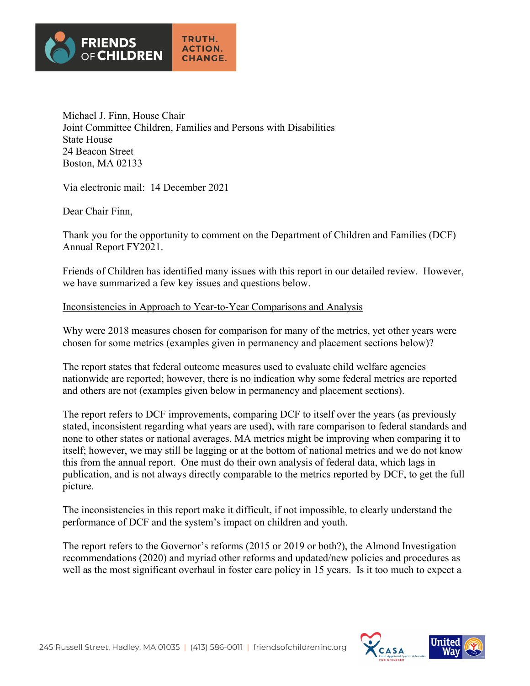

Michael J. Finn, House Chair Joint Committee Children, Families and Persons with Disabilities State House 24 Beacon Street Boston, MA 02133

Via electronic mail: 14 December 2021

Dear Chair Finn,

Thank you for the opportunity to comment on the Department of Children and Families (DCF) Annual Report FY2021.

Friends of Children has identified many issues with this report in our detailed review. However, we have summarized a few key issues and questions below.

### Inconsistencies in Approach to Year-to-Year Comparisons and Analysis

Why were 2018 measures chosen for comparison for many of the metrics, yet other years were chosen for some metrics (examples given in permanency and placement sections below)?

The report states that federal outcome measures used to evaluate child welfare agencies nationwide are reported; however, there is no indication why some federal metrics are reported and others are not (examples given below in permanency and placement sections).

The report refers to DCF improvements, comparing DCF to itself over the years (as previously stated, inconsistent regarding what years are used), with rare comparison to federal standards and none to other states or national averages. MA metrics might be improving when comparing it to itself; however, we may still be lagging or at the bottom of national metrics and we do not know this from the annual report. One must do their own analysis of federal data, which lags in publication, and is not always directly comparable to the metrics reported by DCF, to get the full picture.

The inconsistencies in this report make it difficult, if not impossible, to clearly understand the performance of DCF and the system's impact on children and youth.

The report refers to the Governor's reforms (2015 or 2019 or both?), the Almond Investigation recommendations (2020) and myriad other reforms and updated/new policies and procedures as well as the most significant overhaul in foster care policy in 15 years. Is it too much to expect a



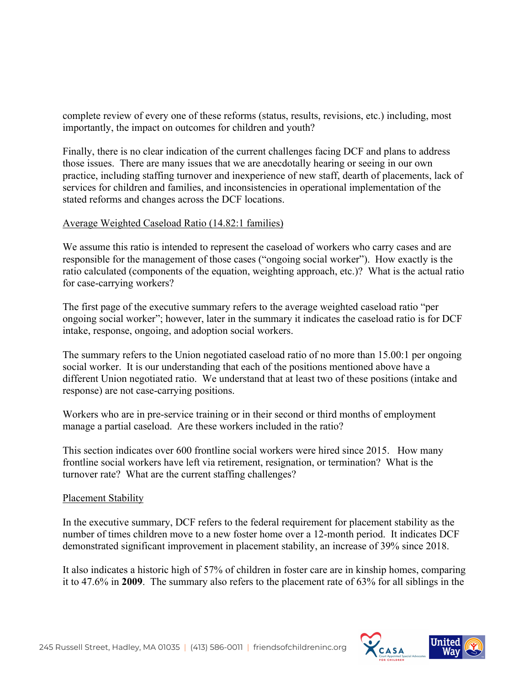complete review of every one of these reforms (status, results, revisions, etc.) including, most importantly, the impact on outcomes for children and youth?

Finally, there is no clear indication of the current challenges facing DCF and plans to address those issues. There are many issues that we are anecdotally hearing or seeing in our own practice, including staffing turnover and inexperience of new staff, dearth of placements, lack of services for children and families, and inconsistencies in operational implementation of the stated reforms and changes across the DCF locations.

# Average Weighted Caseload Ratio (14.82:1 families)

We assume this ratio is intended to represent the caseload of workers who carry cases and are responsible for the management of those cases ("ongoing social worker"). How exactly is the ratio calculated (components of the equation, weighting approach, etc.)? What is the actual ratio for case-carrying workers?

The first page of the executive summary refers to the average weighted caseload ratio "per ongoing social worker"; however, later in the summary it indicates the caseload ratio is for DCF intake, response, ongoing, and adoption social workers.

The summary refers to the Union negotiated caseload ratio of no more than 15.00:1 per ongoing social worker. It is our understanding that each of the positions mentioned above have a different Union negotiated ratio. We understand that at least two of these positions (intake and response) are not case-carrying positions.

Workers who are in pre-service training or in their second or third months of employment manage a partial caseload. Are these workers included in the ratio?

This section indicates over 600 frontline social workers were hired since 2015. How many frontline social workers have left via retirement, resignation, or termination? What is the turnover rate? What are the current staffing challenges?

### Placement Stability

In the executive summary, DCF refers to the federal requirement for placement stability as the number of times children move to a new foster home over a 12-month period. It indicates DCF demonstrated significant improvement in placement stability, an increase of 39% since 2018.

It also indicates a historic high of 57% of children in foster care are in kinship homes, comparing it to 47.6% in **2009**. The summary also refers to the placement rate of 63% for all siblings in the



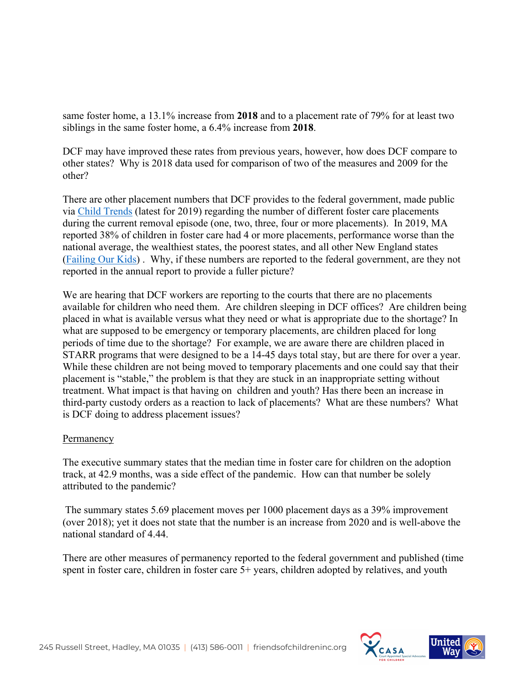same foster home, a 13.1% increase from **2018** and to a placement rate of 79% for at least two siblings in the same foster home, a 6.4% increase from **2018**.

DCF may have improved these rates from previous years, however, how does DCF compare to other states? Why is 2018 data used for comparison of two of the measures and 2009 for the other?

There are other placement numbers that DCF provides to the federal government, made public via Child Trends (latest for 2019) regarding the number of different foster care placements during the current removal episode (one, two, three, four or more placements). In 2019, MA reported 38% of children in foster care had 4 or more placements, performance worse than the national average, the wealthiest states, the poorest states, and all other New England states (Failing Our Kids) . Why, if these numbers are reported to the federal government, are they not reported in the annual report to provide a fuller picture?

We are hearing that DCF workers are reporting to the courts that there are no placements available for children who need them. Are children sleeping in DCF offices? Are children being placed in what is available versus what they need or what is appropriate due to the shortage? In what are supposed to be emergency or temporary placements, are children placed for long periods of time due to the shortage? For example, we are aware there are children placed in STARR programs that were designed to be a 14-45 days total stay, but are there for over a year. While these children are not being moved to temporary placements and one could say that their placement is "stable," the problem is that they are stuck in an inappropriate setting without treatment. What impact is that having on children and youth? Has there been an increase in third-party custody orders as a reaction to lack of placements? What are these numbers? What is DCF doing to address placement issues?

### Permanency

The executive summary states that the median time in foster care for children on the adoption track, at 42.9 months, was a side effect of the pandemic. How can that number be solely attributed to the pandemic?

The summary states 5.69 placement moves per 1000 placement days as a 39% improvement (over 2018); yet it does not state that the number is an increase from 2020 and is well-above the national standard of 4.44.

There are other measures of permanency reported to the federal government and published (time spent in foster care, children in foster care 5+ years, children adopted by relatives, and youth



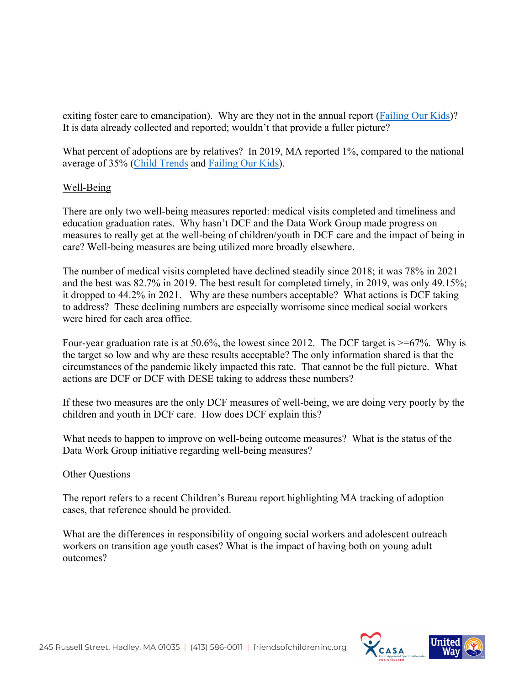exiting foster care to emancipation). Why are they not in the annual report (Failing Our Kids)? It is data already collected and reported; wouldn't that provide a fuller picture?

What percent of adoptions are by relatives? In 2019, MA reported 1%, compared to the national average of 35% (Child Trends and Failing Our Kids).

## Well-Being

There are only two well-being measures reported: medical visits completed and timeliness and education graduation rates. Why hasn't DCF and the Data Work Group made progress on measures to really get at the well-being of children/youth in DCF care and the impact of being in care? Well-being measures are being utilized more broadly elsewhere.

The number of medical visits completed have declined steadily since 2018; it was 78% in 2021 and the best was 82.7% in 2019. The best result for completed timely, in 2019, was only 49.15%; it dropped to 44.2% in 2021. Why are these numbers acceptable? What actions is DCF taking to address? These declining numbers are especially worrisome since medical social workers were hired for each area office.

Four-year graduation rate is at 50.6%, the lowest since 2012. The DCF target is  $\geq$ =67%. Why is the target so low and why are these results acceptable? The only information shared is that the circumstances of the pandemic likely impacted this rate. That cannot be the full picture. What actions are DCF or DCF with DESE taking to address these numbers?

If these two measures are the only DCF measures of well-being, we are doing very poorly by the children and youth in DCF care. How does DCF explain this?

What needs to happen to improve on well-being outcome measures? What is the status of the Data Work Group initiative regarding well-being measures?

### Other Questions

The report refers to a recent Children's Bureau report highlighting MA tracking of adoption cases, that reference should be provided.

What are the differences in responsibility of ongoing social workers and adolescent outreach workers on transition age youth cases? What is the impact of having both on young adult outcomes?